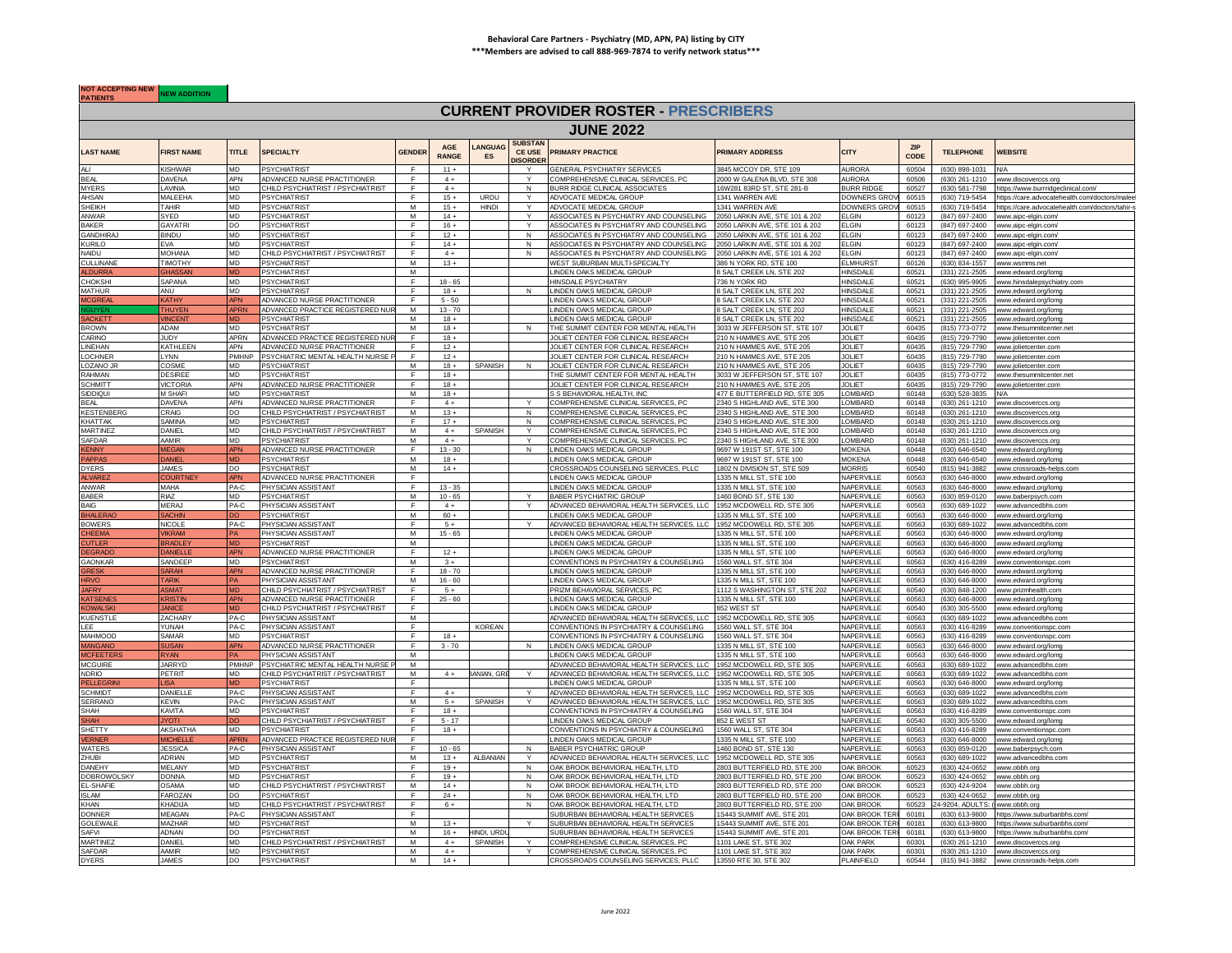## **Behavioral Care Partners - Psychiatry (MD, APN, PA) listing by CITY \*\*\*Members are advised to call 888-969-7874 to verify network status\*\*\***

**NOT ACCEPTING NEW NEW ADDITION** 

## **CURRENT PROVIDER ROSTER - PRESCRIBERS**

|                                  |                      |                 |                                            |                |                            |                     |                                             | <b>JUNE 2022</b>                                                                   |                                                                  |                             |                    |                                  |                                                              |
|----------------------------------|----------------------|-----------------|--------------------------------------------|----------------|----------------------------|---------------------|---------------------------------------------|------------------------------------------------------------------------------------|------------------------------------------------------------------|-----------------------------|--------------------|----------------------------------|--------------------------------------------------------------|
| <b>LAST NAME</b>                 | <b>FIRST NAME</b>    | <b>TITLE</b>    | <b>SPECIALTY</b>                           | <b>GENDER</b>  | <b>AGF</b><br><b>RANGE</b> | <b>ANGUAG</b><br>ES | <b>SUBSTAN</b><br>CE USE<br><b>JISORDEI</b> | <b>PRIMARY PRACTICE</b>                                                            | <b>PRIMARY ADDRESS</b>                                           | <b>CITY</b>                 | <b>7IP</b><br>CODE | <b>TELEPHONE</b>                 | <b>WEBSITE</b>                                               |
| ALI.                             | KISHWAR              | <b>MD</b>       | <b>PSYCHIATRIST</b>                        | F              | $11 +$                     |                     |                                             | <b>GENERAL PSYCHIATRY SERVICES</b>                                                 | 3845 MCCOY DR. STE 109                                           | <b>AURORA</b>               | 60504              | (630) 898-1031                   | N/A                                                          |
| <b>BEAL</b>                      | DAVENA               | <b>APN</b>      | ADVANCED NURSE PRACTITIONER                | F              | $4+$                       |                     | Y                                           | COMPREHENSIVE CLINICAL SERVICES, PC                                                | 2000 W GALENA BLVD, STE 308                                      | <b>AURORA</b>               | 60506              | (630) 261-1210                   | www.discoverccs.org                                          |
| <b>MYERS</b>                     | <b>AVINIA</b>        | <b>MD</b>       | CHILD PSYCHIATRIST / PSYCHIATRIST          | F              | $4+$                       |                     | N                                           | BURR RIDGE CLINICAL ASSOCIATES                                                     | 16W281 83RD ST, STE 281-B                                        | <b>BURR RIDGE</b>           | 60527              |                                  | (630) 581-7798 https://www.burrridgeclinical.com/            |
| AHSAN                            | <b>MALEEHA</b>       | <b>MD</b>       | <b>PSYCHIATRIST</b>                        | F.             | $15+$                      | URDU                | $\mathsf{v}$                                | ADVOCATE MEDICAL GROUP                                                             | 1341 WARREN AVE<br>1341 WARREN AVE                               | DOWNERS GRO                 | 60515              |                                  | (630) 719-5454 https://care.advocatehealth.com/doctors/malee |
| <b>SHEIKH</b>                    | TAHIR<br>YFD.        | MD.<br>MD.      | <b>PSYCHIATRIST</b>                        | M              | $15 +$<br>$14 +$           | <b>HINDI</b>        | Y                                           | ADVOCATE MEDICAL GROUP<br>ASSOCIATES IN PSYCHIATRY AND COUNSELING                  |                                                                  | DOWNERS GRO<br><b>I GIN</b> | 60515<br>60123     | (630) 719-5454<br>(847) 697-2400 | https://care.advocatehealth.com/doctors/tahir-s              |
| ANWAR                            |                      |                 | PSYCHIATRIST                               | M<br>F         |                            |                     |                                             |                                                                                    | 050 LARKIN AVE, STE 101 & 202                                    |                             |                    |                                  | www.aipc-elgin.com/                                          |
| <b>BAKER</b>                     | GAYATR               | DO.             | <b>PSYCHIATRIST</b>                        |                | $16 +$                     |                     |                                             | ASSOCIATES IN PSYCHIATRY AND COUNSELING                                            | 050 LARKIN AVE, STE 101 & 202                                    | <b>ELGIN</b>                | 60123              | (847) 697-2400                   | www.aipc-elgin.com/                                          |
| <b>GANDHIRA</b><br><b>KURILO</b> | <b>BINDU</b><br>FVA. | MD<br><b>MD</b> | <b>PSYCHIATRIST</b><br><b>PSYCHIATRIST</b> | F              | $12 +$<br>$14 +$           |                     | $\mathsf{N}$<br>N                           | ASSOCIATES IN PSYCHIATRY AND COUNSELING                                            | 050 LARKIN AVE, STE 101 & 202<br>2050   ARKIN AVE. STE 101 & 202 | <b>LGIN</b><br>FI GIN       | 60123<br>60123     | (847) 697-2400                   | www.aipc-elgin.com                                           |
| NAIDU                            | <b>MOHANA</b>        | MD.             | CHILD PSYCHIATRIST / PSYCHIATRIST          | F              | $4+$                       |                     | $\mathbf{N}$                                | ASSOCIATES IN PSYCHIATRY AND COUNSELING<br>ASSOCIATES IN PSYCHIATRY AND COUNSELING | 2050 LARKIN AVE, STE 101 & 202                                   | ELGIN                       | 60123              | (847) 697-2400<br>(847) 697-2400 | www.aipc-elgin.com<br>www.ainc-elgin.com                     |
| CULLINANE                        | TIMOTHY              | <b>MD</b>       | <b>PSYCHIATRIST</b>                        | M              | $13 +$                     |                     |                                             | WEST SUBURBAN MULTI-SPECIALTY                                                      | 386 N YORK RD. STF 100                                           | I MHURST                    | 60126              | (630) 834-1557                   | www.wsmms.net                                                |
| <b>ALDURRA</b>                   | <b>GHASSAN</b>       | <b>MD</b>       | <b>PSYCHIATRIST</b>                        | M              |                            |                     |                                             | LINDEN OAKS MEDICAL GROUP                                                          | 8 SALT CREEK LN, STE 202                                         | <b>HINSDALE</b>             | 60521              | (331) 221-2505                   | www.edward.org/lomg                                          |
| <b>CHOKSHI</b>                   | SAPANA               | <b>MD</b>       | <b>PSYCHIATRIST</b>                        | F.             | $18 - 65$                  |                     |                                             | HINSDALE PSYCHIATRY                                                                | 736 N YORK RD                                                    | HINSDALE                    | 60521              | (630) 995-9905                   | www.hinsdalepsychiatry.com                                   |
| <b>MATHUR</b>                    | ANU.                 | <b>MD</b>       | <b>PSYCHIATRIST</b>                        | F              | $18 +$                     |                     | N                                           | LINDEN OAKS MEDICAL GROUP                                                          | <b>SALT CREEK IN STE 202</b>                                     | <b>HINSDALE</b>             | 60521              | (331) 221-2505                   | www.edward.org/lomg                                          |
| ICGREA                           | <b>ATH</b>           | APN             | ADVANCED NURSE PRACTITIONER                |                | $5 - 50$                   |                     |                                             | INDEN OAKS MEDICAL GROUP                                                           | SALT CREEK LN, STE 202                                           | <b>IINSDALE</b>             | 60521              | (331) 221-2505                   | www.edward.org/lomg                                          |
|                                  | <b>HUYE</b>          | <b>APRN</b>     | ADVANCED PRACTICE REGISTERED NU            | M              | $13 - 70$                  |                     |                                             | INDEN OAKS MEDICAL GROUP                                                           | <b>SALT CREEK LN, STE 202</b>                                    | HINSDALI                    | 60521              | (331) 221-2505                   | www.edward.org/lomg                                          |
| SACKETT                          | <b>VINCEN</b>        | <b>MD</b>       | <b>PSYCHIATRIST</b>                        | M              | $18 +$                     |                     |                                             | <b>I INDEN OAKS MEDICAL GROUP</b>                                                  | 8 SALT CREEK LN, STE 202                                         | HINSDAI F                   | 60521              | (331) 221-2505                   | www.edward.org/lomg                                          |
| <b>BROWN</b>                     | ADAM                 | <b>MD</b>       | <b>PSYCHIATRIST</b>                        | M              | $18 +$                     |                     |                                             | THE SUMMIT CENTER FOR MENTAL HEALTH                                                | 3033 W JEFFERSON ST. STE 107                                     | <b>JOLIET</b>               | 60435              | (815) 773-0772                   | www.thesummitcenter.net                                      |
| CARINO                           | JUDY                 | <b>APRN</b>     | ADVANCED PRACTICE REGISTERED NU            |                | $18 +$                     |                     |                                             | JOLIET CENTER FOR CLINICAL RESEARCH                                                | 210 N HAMMES AVE, STE 205                                        | <b>JOLIET</b>               | 60435              | (815) 729-7790                   | www.iolietcenter.com                                         |
| <b>LINEHAN</b>                   | KATHLEEN             | <b>APN</b>      | ADVANCED NURSE PRACTITIONER                | F              | $12 +$                     |                     |                                             | JOLIET CENTER FOR CLINICAL RESEARCH                                                | 210 N HAMMES AVE, STE 205                                        | <b>JOLIET</b>               | 60435              | (815) 729-7790                   | www.iolietcenter.com                                         |
| LOCHNER                          | LYNN                 | <b>PMHNP</b>    | PSYCHIATRIC MENTAL HEALTH NURSE F          | F              | $12 +$                     |                     |                                             | JOLIET CENTER FOR CLINICAL RESEARCH                                                | 210 N HAMMES AVE, STE 205                                        | <b>JOLIET</b>               | 60435              |                                  | (815) 729-7790 www.jolietcenter.com                          |
| LOZANO JR                        | COSME                | <b>MD</b>       | <b>PSYCHIATRIST</b>                        | M              | $18 +$                     | SPANISH             | N                                           | JOLIET CENTER FOR CLINICAL RESEARCH                                                | 210 N HAMMES AVE, STE 205                                        | <b>JOLIET</b>               | 60435              |                                  | (815) 729-7790 www.iolietcenter.com                          |
| RAHMAN                           | DESIREE              | MD              | <b>PSYCHIATRIST</b>                        | F.             | $18 +$                     |                     |                                             | THE SUMMIT CENTER FOR MENTAL HEALTH                                                | 3033 W JEFFERSON ST, STE 107                                     | <b>JOLIET</b>               | 60435              | (815) 773-0772                   | www.thesummitcenter.net                                      |
| <b>SCHMITT</b>                   | <b>VICTORIA</b>      | <b>APN</b>      | ADVANCED NURSE PRACTITIONER                |                | $18 +$                     |                     |                                             | JOLIET CENTER FOR CLINICAL RESEARCH                                                | 10 N HAMMES AVE, STE 205                                         | <b>IOLIET</b>               | 60435              | (815) 729-7790                   | www.jolietcenter.com                                         |
| SIDDIQUI                         | M SHAFI              | <b>MD</b>       | <b>PSYCHIATRIST</b>                        | M              | $18 +$                     |                     |                                             | S S BEHAVIORAL HEALTH, INC                                                         | 177 E BUTTERFIELD RD, STE 305                                    | LOMBARD                     | 60148              | (630) 528-3835                   |                                                              |
| <b>BEAL</b>                      | <b>DAVENA</b>        | <b>APN</b>      | ADVANCED NURSE PRACTITIONER                | F              | $4+$                       |                     | Y                                           | COMPREHENSIVE CLINICAL SERVICES, PC                                                | 2340 S HIGHLAND AVE, STE 300                                     | LOMBARD                     | 60148              |                                  | (630) 261-1210 www.discoverccs.org                           |
| <b>KESTENBERG</b>                | CRAIG                | DO.             | CHILD PSYCHIATRIST / PSYCHIATRIST          | M              | $13 +$                     |                     | $\mathbf N$                                 | COMPREHENSIVE CLINICAL SERVICES, PC                                                | 2340 S HIGHI AND AVE. STE 300                                    | LOMBARD                     | 60148              | (630) 261-1210                   | www.discoverccs.org                                          |
| <b>KHATTAK</b>                   | SAMINA               | <b>MD</b>       | <b>PSYCHIATRIST</b>                        |                | $17 +$                     |                     | N                                           | COMPREHENSIVE CLINICAL SERVICES. PC                                                | 2340 S HIGHLAND AVE, STE 300                                     | <b>OMBARD</b>               | 60148              | (630) 261-1210                   | www.discoverccs.org                                          |
| <b>MARTINEZ</b>                  | DANIEL               | <b>MD</b>       | CHILD PSYCHIATRIST / PSYCHIATRIST          | M              | $4+$                       | SPANISH             | Y                                           | COMPREHENSIVE CLINICAL SERVICES, PC                                                | 2340 S HIGHLAND AVE, STE 300                                     | OMBARD                      | 60148              |                                  | (630) 261-1210 www.discoverccs.org                           |
| <b>SAFDAR</b>                    | ΑΔΜΙΡ                | <b>MD</b>       | <b>PSYCHIATRIST</b>                        | M              | $4+$                       |                     | Y                                           | COMPREHENSIVE CLINICAL SERVICES. PC                                                | 2340 S HIGHLAND AVE, STE 300                                     | OMBARD                      | 60148              | (630) 261-1210                   | www.discoverccs.org                                          |
| <b>KENNY</b>                     | <b>IFGAN</b>         | <b>APN</b>      | ADVANCED NURSE PRACTITIONER                | F              | $13 - 30$                  |                     | N                                           | <b>I INDEN OAKS MEDICAL GROUP</b>                                                  | 9697 W 191ST ST. STF 100                                         | <b>JOKENA</b>               | 60448              | (630) 646-6540                   | www.edward.org/lomg                                          |
| <b>PAPPAS</b>                    | <b>DANIEL</b>        | MD.             | <b>PSYCHIATRIST</b>                        | M              | $18 +$                     |                     |                                             | <b>INDEN OAKS MEDICAL GROUP</b>                                                    | 697 W 191ST ST, STE 100                                          | <b>MOKENA</b>               | 60448              | (630) 646-6540                   | www.edward.org/lomg                                          |
| <b>DYERS</b>                     | <b>JAMES</b>         | <b>DO</b>       | PSYCHIATRIST                               | M              | $14 +$                     |                     |                                             | CROSSROADS COUNSELING SERVICES, PLLC                                               | 1802 N DIVISION ST, STE 509                                      | <b>MORRIS</b>               | 60540              | (815) 941-3882                   | www.crossroads-helps.com                                     |
| <b>VARF</b>                      |                      | <b>APN</b>      | ADVANCED NURSE PRACTITIONER                | F              |                            |                     |                                             | LINDEN OAKS MEDICAL GROUP                                                          | 1335 N MILL ST. STE 100                                          | NAPERVILLE                  | 60563              | (630) 646-8000                   | www.edward.org/lomg                                          |
| ANWAR                            | <b>MAHA</b>          | $PA-C$          | PHYSICIAN ASSISTANT                        | ஈ              | $13 - 35$                  |                     |                                             | <b>INDEN OAKS MEDICAL GROUP</b>                                                    | 1335 N MILL ST. STF 100                                          | <b>NAPFRVILLE</b>           | 60563              | $(630) 646 - 8000$               | www.edward.org/lomg                                          |
| <b>BABER</b>                     | RIAZ                 | <b>MD</b>       | <b>PSYCHIATRIST</b>                        | M              | $10 - 65$                  |                     |                                             | <b>BABER PSYCHIATRIC GROUP</b>                                                     | 1460 BOND ST. STF 130                                            | NAPERVILLE                  | 60563              | $(630)$ 859-0120                 | www.baberpsych.com                                           |
| <b>BAIG</b>                      | <b>MERAJ</b>         | PA-C            | PHYSICIAN ASSISTANT                        | F              | $4+$                       |                     |                                             | ADVANCED BEHAVIORAL HEALTH SERVICES, LLC                                           | 1952 MCDOWELL RD, STE 305                                        | NAPERVILLE                  | 60563              | (630) 689-1022                   | www.advancedbhs.com                                          |
| <b>BHALERAC</b>                  | <b>SACHIN</b>        | <b>DO</b>       | <b>PSYCHIATRIST</b>                        | M              | $60 +$                     |                     |                                             | LINDEN OAKS MEDICAL GROUP                                                          | 1335 N MILL ST, STE 100                                          | NAPERVILLE                  | 60563              |                                  | (630) 646-8000 www.edward.org/lomg                           |
| <b>BOWERS</b>                    | NICOI F              | PA-C            | PHYSICIAN ASSISTANT                        | F              | $5+$                       |                     |                                             | ADVANCED BEHAVIORAL HEALTH SERVICES, LLC 1952 MCDOWELL RD, STE 305                 |                                                                  | NAPFRVILLE                  | 60563              | (630) 689-1022                   | www.advancedbhs.com                                          |
| <b>CHEEMA</b>                    | <b>IKRAM</b>         | PA.             | PHYSICIAN ASSISTANT                        | M              | $15 - 65$                  |                     |                                             | LINDEN OAKS MEDICAL GROUP                                                          | 335 N MILL ST, STE 100                                           | VAPERVILLE                  | 60563              | (630) 646-8000                   | www.edward.org/lomg                                          |
| <b>CUTLER</b><br><b>DEGRAD</b>   | RADLE                |                 | <b>PSYCHIATRIST</b>                        | M              |                            |                     |                                             | INDEN OAKS MEDICAL GROUP                                                           | 335 N MILL ST, STE 100                                           | NAPERVILLE                  | 60563              | (630) 646-8000                   | www.edward.org/lomg                                          |
| <b>EGRAD</b>                     | ANIELLE              | <b>APN</b>      | ADVANCED NURSE PRACTITIONER                | F              | $12 +$                     |                     |                                             | LINDEN OAKS MEDICAL GROUP                                                          | 1335 N MILL ST, STE 100                                          | NAPERVILLE                  | 60563              |                                  | (630) 646-8000 www.edward.org/lomg                           |
| <b>GAONKAR</b>                   | SANDEFF              | <b>MD</b>       | <b>PSYCHIATRIST</b>                        | M              | $3+$                       |                     |                                             | CONVENTIONS IN PSYCHIATRY & COUNSELING                                             | 1560 WALL ST, STE 304                                            | NAPERVILLE                  | 60563              | (630) 416-8289                   | www.conventionspc.com                                        |
| <b>GRESK</b>                     | <b>SARAH</b>         | <b>APN</b>      | ADVANCED NURSE PRACTITIONER                | F              | $18 - 70$                  |                     |                                             | INDEN OAKS MEDICAL GROUP                                                           | 1335 N MILL ST, STE 100                                          | VAPERVILLE                  | 60563              | $(630) 646 - 8000$               | www.edward.org/lomg                                          |
| <b>HRVO</b>                      | <b>TARIK</b>         | <b>PA</b>       | PHYSICIAN ASSISTANT                        | M              | $16 - 60$                  |                     |                                             | LINDEN OAKS MEDICAL GROUP                                                          | 1335 N MILL ST, STE 100                                          | NAPERVILLE                  | 60563              |                                  | (630) 646-8000 www.edward.org/lomg                           |
| <b>JAFRY</b>                     | <b>SMAT</b>          | <b>MD</b>       | CHILD PSYCHIATRIST / PSYCHIATRIST          | F.             | $5+$                       |                     |                                             | PRIZM BEHAVIORAL SERVICES, PC                                                      | 1112 S WASHINGTON ST, STE 202                                    | NAPERVILLE                  | 60540              |                                  | (630) 848-1200 www.prizmhealth.com                           |
| <b>KATSENES</b>                  | <b>KRISTIN</b>       | <b>APN</b>      | ADVANCED NURSE PRACTITIONER                | F.             | $25 - 60$                  |                     |                                             | LINDEN OAKS MEDICAL GROUP                                                          | 1335 N MILL ST, STE 100                                          | NAPERVILLE                  | 60563              |                                  | (630) 646-8000 www.edward.org/lomg                           |
| <b>KOWALSKI</b>                  | ANICF                | MD.             | CHILD PSYCHIATRIST / PSYCHIATRIST          | F              |                            |                     |                                             | <b>INDEN OAKS MEDICAL GROUP</b>                                                    | 352 WEST ST                                                      | VAPERVILLE                  | 60540              | $(630)$ 305-5500                 | www.edward.org/lomg                                          |
| <b>KUENSTLE</b>                  | <b>ZACHARY</b>       | PA-C            | PHYSICIAN ASSISTANT                        | М              |                            |                     |                                             | ADVANCED BEHAVIORAL HEALTH SERVICES, LLC                                           | 952 MCDOWELL RD, STE 305                                         | <b>JAPERVILLE</b>           | 60563              | (630) 689-1022                   | www.advancedbhs.com                                          |
| LEE                              | YUNAH                | PA-C            | PHYSICIAN ASSISTANT                        | $\mathbf{F}$   |                            | <b>KORFAN</b>       |                                             | CONVENTIONS IN PSYCHIATRY & COUNSELING                                             | 1560 WALL ST, STE 304                                            | NAPERVILLE                  | 60563              | (630) 416-8289                   | www.conventionspc.com                                        |
| <b>MAHMOOD</b>                   | SAMAR                | MD.             | <b>PSYCHIATRIST</b>                        | $\overline{F}$ | $18 +$                     |                     |                                             | CONVENTIONS IN PSYCHIATRY & COUNSELING                                             | 1560 WALL ST, STE 304                                            | NAPERVILLE                  | 60563              | (630) 416-8289                   | www.conventionspc.com                                        |
| <b>MANGANO</b>                   | <b>SUSAN</b>         | <b>APN</b>      | ADVANCED NURSE PRACTITIONER                | F              | $3 - 70$                   |                     | N                                           | <b>I INDEN OAKS MEDICAL GROUP</b>                                                  | 1335 N MILL ST. STE 100                                          | NAPFRVILLE                  | 60563              | $(630) 646 - 8000$               | www.edward.org/lomg                                          |
| <b>MCFEETER</b>                  | <b>RYAN</b>          | <b>PA</b>       | PHYSICIAN ASSISTANT                        | M              |                            |                     |                                             | <b>INDEN OAKS MEDICAL GROUP</b>                                                    | 1335 N MILL ST. STE 100                                          | NAPERVILLE                  | 60563              | $(630) 646 - 8000$               | www.edward.org/lomg                                          |
| <b>MCGUIRE</b>                   | <b>JARRYD</b>        | <b>PMHNP</b>    | PSYCHIATRIC MENTAL HEALTH NURSE P          | M              |                            |                     |                                             | ADVANCED BEHAVIORAL HEALTH SERVICES, LLC 1952 MCDOWELL RD, STE 305                 |                                                                  | NAPERVILLE                  | 60563              | (630) 689-1022                   | www.advancedbhs.com                                          |
| <b>NDRIO</b>                     | PETRIT               | <b>MD</b>       | CHILD PSYCHIATRIST / PSYCHIATRIST          | M              | $4+$                       | <b>BANIAN, GR</b>   | Y                                           | ADVANCED BEHAVIORAL HEALTH SERVICES, LLC 1952 MCDOWELL RD, STE 305                 |                                                                  | NAPERVILLE                  | 60563              | (630) 689-1022                   | www.advancedbhs.com                                          |
| <b>PELLEGRIN</b>                 | ISA.                 | <b>MD</b>       | <b>PSYCHIATRIST</b>                        | F.             |                            |                     |                                             | I INDEN OAKS MEDICAL GROUP                                                         | 1335 N MILL ST. STE 100                                          | NAPERVILLE                  | 60563              |                                  | (630) 646-8000 www.edward.org/lomg                           |
| <b>SCHMIDT</b>                   | DANIELLE             | PA-C            | PHYSICIAN ASSISTANT                        | F              | $4+$                       |                     |                                             | ADVANCED BEHAVIORAL HEALTH SERVICES, LLC                                           | 952 MCDOWELL RD, STE 305                                         | VAPERVILLE                  | 60563              | $(630) 689 - 1022$               | www.advancedbhs.com                                          |
| <b>SERRANO</b>                   | <b>KEVIN</b>         | PA-C            | PHYSICIAN ASSISTANT                        | M              | $5+$                       | SPANISH             |                                             | ADVANCED BEHAVIORAL HEALTH SERVICES, LLC                                           | 1952 MCDOWELL RD, STE 305                                        | VAPERVILLE                  | 60563              | (630) 689-1022                   | www.advancedbhs.com                                          |
| <b>SHAH</b>                      | <b>KAVITA</b>        | <b>MD</b>       | <b>PSYCHIATRIST</b>                        |                | $18 +$                     |                     |                                             | CONVENTIONS IN PSYCHIATRY & COUNSELING                                             | 1560 WALL ST, STE 304                                            | NAPERVILLE                  | 60563              | (630) 416-8289                   | www.conventionspc.com                                        |
| <b>SHAH</b>                      | <b>IYOTI</b>         | DO              | CHILD PSYCHIATRIST / PSYCHIATRIST          | F              | $5 - 17$                   |                     |                                             | INDEN OAKS MEDICAL GROUP                                                           | 852 E WEST ST                                                    | NAPERVILLE                  | 60540              | (630) 305-5500                   | www.edward.org/lomg                                          |
| <b>SHETTY</b>                    | <b>AKSHATHA</b>      | <b>MD</b>       | <b>PSYCHIATRIST</b>                        | Ŧ              | $18 +$                     |                     |                                             | CONVENTIONS IN PSYCHIATRY & COUNSELING                                             | 1560 WALL ST. STF 304                                            | NAPERVILLE                  | 60563              |                                  | (630) 416-8289 www.conventionspc.com                         |
| <b>VERNER</b>                    | <b>AICHELLI</b>      | <b>APRN</b>     | ADVANCED PRACTICE REGISTERED NUP           | E              |                            |                     |                                             | LINDEN OAKS MEDICAL GROUP                                                          | 1335 N MILL ST, STE 100                                          | NAPERVILLE                  | 60563              | (630) 646-8000                   | www.edward.org/lomg                                          |
| WATERS                           | <b>JESSICA</b>       | PA-C            | PHYSICIAN ASSISTANT                        | F              | $10 - 65$                  |                     | N                                           | BABER PSYCHIATRIC GROUP                                                            | 1460 BOND ST, STE 130                                            | NAPERVILLE                  | 60563              |                                  | (630) 859-0120 www.baberpsych.com                            |
| ZHUBI                            | ADRIAN               | <b>MD</b>       | <b>PSYCHIATRIST</b>                        | M              | $13 +$                     | <b>ALBANIAN</b>     | Y                                           | ADVANCED BEHAVIORAL HEALTH SERVICES, LLC                                           | 1952 MCDOWELL RD, STE 305                                        | NAPERVILLE                  | 60563              |                                  | (630) 689-1022 www.advancedbhs.com                           |
| DANEHY                           | <b>JEI ANY</b>       | <b>MD</b>       | <b>PSYCHIATRIST</b>                        | F.             | $19 +$                     |                     | N                                           | OAK BROOK BEHAVIORAL HEALTH. ITD                                                   | 2803 BUTTERFIELD RD, STE 200                                     | OAK BROOK                   | 60523              | (630) 424-0652                   | www.obbh.org                                                 |
| <b>DOBROWOLSKY</b>               | <b>ONNA</b>          | <b>MD</b>       | <b>PSYCHIATRIST</b>                        | F              | $19 +$                     |                     | N                                           | OAK BROOK BEHAVIORAL HEALTH, LTD                                                   | 2803 BUTTERFIELD RD, STE 200                                     | <b>DAK BROOK</b>            | 60523              | (630) 424-0652                   | ww.obbh.org                                                  |
| EL-SHAFIE<br>ISLAM               | <b>SAMA</b>          | MD              | CHILD PSYCHIATRIST / PSYCHIATRIST          | M              | $14 +$                     |                     | N                                           | OAK BROOK BEHAVIORAL HEALTH, LTD                                                   | 803 BUTTERFIELD RD, STE 200                                      | <b>AK BROOK</b>             | 60523              | (630) 424-9204                   | www.obbh.ora                                                 |
|                                  | <b>FAROZAN</b>       | <b>DO</b>       | <b>PSYCHIATRIST</b>                        | $\mathbf{F}$   | $24 +$                     |                     | N                                           | OAK BROOK BEHAVIORAL HEALTH. LTD                                                   | 2803 BUTTERFIELD RD, STE 200                                     | <b>DAK BROOK</b>            | 60523              | (630) 424-0652                   | www.obbh.org                                                 |
| KHAN                             | KHADLIA              | <b>MD</b>       | CHILD PSYCHIATRIST / PSYCHIATRIST          | $\overline{E}$ | $6+$                       |                     | N                                           | OAK BROOK BEHAVIORAL HEALTH LTD                                                    | 2803 BLITTEREIELD RD, STE 200                                    | <b>OAK RROOK</b>            | 60523              | 4-9204: ADULTS: (                | www.obbb.org                                                 |
| <b>DONNER</b>                    | MEAGAN               | PA-C            | PHYSICIAN ASSISTANT                        |                |                            |                     |                                             | SUBURBAN BEHAVIORAL HEALTH SERVICES                                                | 1S443 SUMMIT AVE, STE 201                                        | OAK BROOK TER               | 60181              | $(630)$ 613-9800                 | https://www.suburbanbhs.com                                  |
| <b>GOLEWALE</b>                  | <b>MAZHAR</b>        | <b>MD</b>       | <b>PSYCHIATRIST</b>                        | M              | $13 +$                     |                     | $\vee$                                      | SUBURBAN BEHAVIORAL HEALTH SERVICES                                                | 1S443 SUMMIT AVE, STE 201                                        | OAK BROOK TERE 60181        |                    |                                  | (630) 613-9800 https://www.suburbanbhs.com/                  |
| SAFVI                            | ADNAN                | DO              | <b>PSYCHIATRIST</b>                        | M              | $16 +$                     | HINDI, URD          |                                             | SUBURBAN BEHAVIORAL HEALTH SERVICES                                                | 1S443 SUMMIT AVE, STE 201                                        | OAK BROOK TERF 60181        |                    |                                  | (630) 613-9800 https://www.suburbanbhs.com/                  |
| <b>MARTINEZ</b>                  | <b>DANIEI</b>        | <b>MD</b>       | CHILD PSYCHIATRIST / PSYCHIATRIST          | M              | $4+$                       | SPANISH             | Y                                           | COMPREHENSIVE CLINICAL SERVICES. PC                                                | 1101   AKE ST. STE 302                                           | <b>DAK PARK</b>             | 60301              |                                  | (630) 261-1210 www.discoverccs.org                           |
| SAFDAR                           | AAMIR                | MD              | <b>PSYCHIATRIST</b>                        | M              | $4+$                       |                     | Y                                           | COMPREHENSIVE CLINICAL SERVICES, PC                                                | 1101 LAKE ST. STE 302                                            | <b>DAK PARK</b>             | 60301              |                                  | (630) 261-1210 www.discoverccs.org                           |
| <b>DYERS</b>                     | <b>JAMES</b>         | DO              | <b>PSYCHIATRIST</b>                        | M              | $14 +$                     |                     |                                             | CROSSROADS COUNSELING SERVICES, PLLC                                               | 13550 RTE 30, STE 302                                            | PLAINFIELD                  | 60544              |                                  | (815) 941-3882 www.crossroads-helps.com                      |